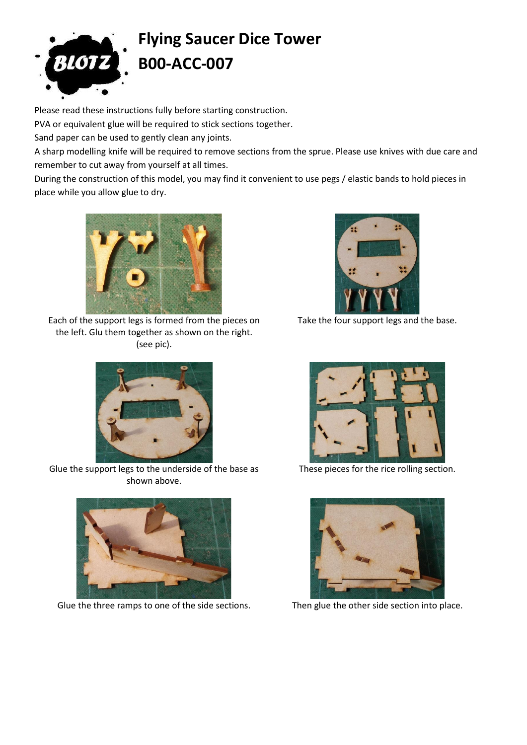

## **Flying Saucer Dice Tower B00-ACC-007**

Please read these instructions fully before starting construction.

PVA or equivalent glue will be required to stick sections together.

Sand paper can be used to gently clean any joints.

A sharp modelling knife will be required to remove sections from the sprue. Please use knives with due care and remember to cut away from yourself at all times.

During the construction of this model, you may find it convenient to use pegs / elastic bands to hold pieces in place while you allow glue to dry.



Each of the support legs is formed from the pieces on the left. Glu them together as shown on the right. (see pic).



Take the four support legs and the base.



Glue the support legs to the underside of the base as shown above.



Glue the three ramps to one of the side sections. Then glue the other side section into place.



These pieces for the rice rolling section.

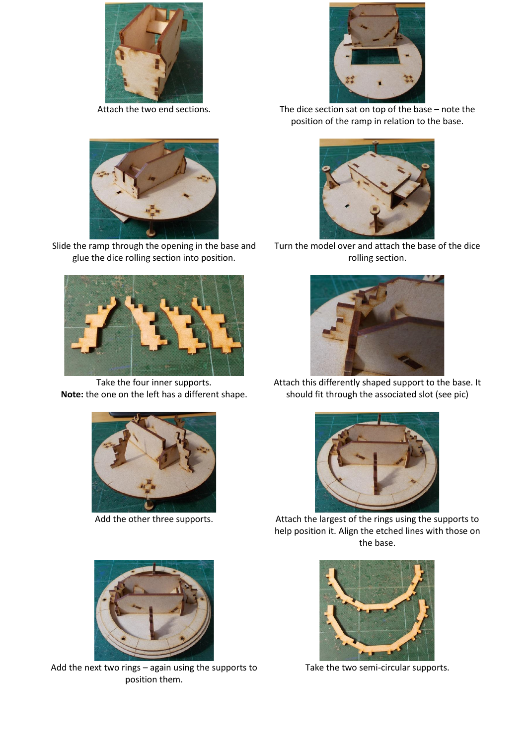



Slide the ramp through the opening in the base and glue the dice rolling section into position.



Take the four inner supports. **Note:** the one on the left has a different shape.





Add the next two rings – again using the supports to position them.



Attach the two end sections. The dice section sat on top of the base – note the position of the ramp in relation to the base.



Turn the model over and attach the base of the dice rolling section.



Attach this differently shaped support to the base. It should fit through the associated slot (see pic)



Add the other three supports. Attach the largest of the rings using the supports to help position it. Align the etched lines with those on the base.



Take the two semi-circular supports.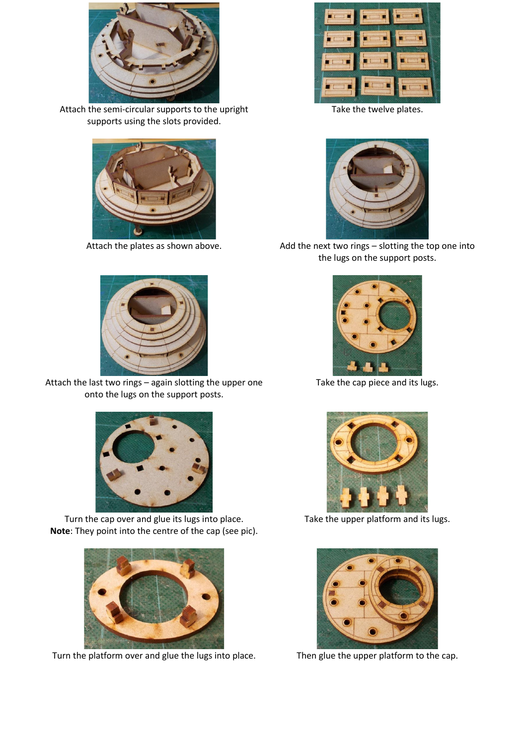

Attach the semi-circular supports to the upright supports using the slots provided.





Attach the last two rings – again slotting the upper one onto the lugs on the support posts.



Turn the cap over and glue its lugs into place. **Note**: They point into the centre of the cap (see pic).



Turn the platform over and glue the lugs into place. Then glue the upper platform to the cap.



Take the twelve plates.



Attach the plates as shown above. Add the next two rings - slotting the top one into the lugs on the support posts.



Take the cap piece and its lugs.



Take the upper platform and its lugs.